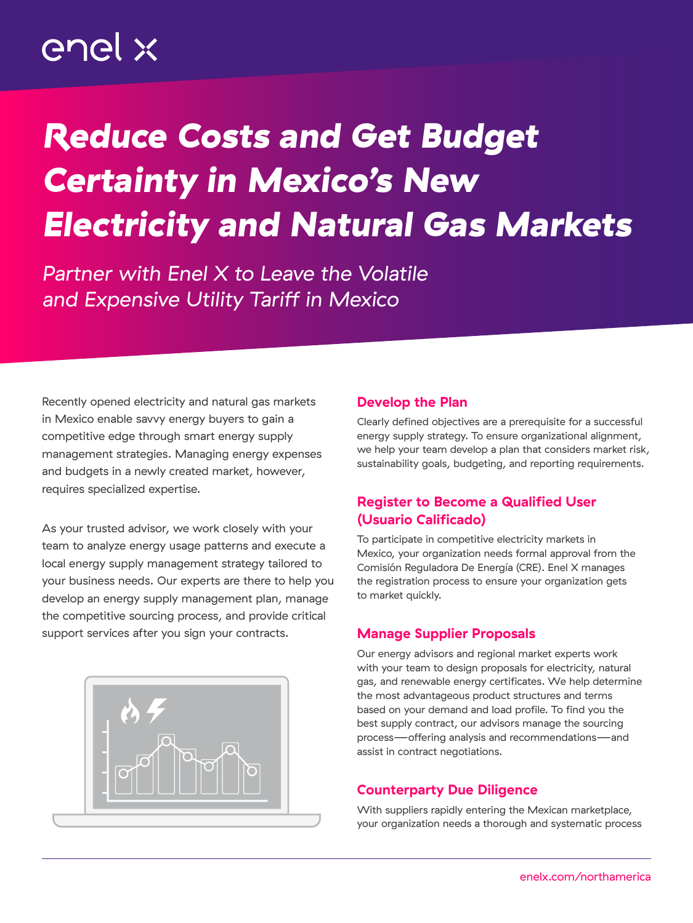# enel x

# *Reduce Costs and Get Budget Certainty in Mexico's New Electricity and Natural Gas Markets*

*Partner with Enel X to Leave the Volatile and Expensive Utility Tariff in Mexico*

Recently opened electricity and natural gas markets in Mexico enable savvy energy buyers to gain a competitive edge through smart energy supply management strategies. Managing energy expenses and budgets in a newly created market, however, requires specialized expertise.

As your trusted advisor, we work closely with your team to analyze energy usage patterns and execute a local energy supply management strategy tailored to your business needs. Our experts are there to help you develop an energy supply management plan, manage the competitive sourcing process, and provide critical support services after you sign your contracts.



#### Develop the Plan

Clearly defined objectives are a prerequisite for a successful energy supply strategy. To ensure organizational alignment, we help your team develop a plan that considers market risk, sustainability goals, budgeting, and reporting requirements.

### Register to Become a Qualified User (Usuario Calificado)

To participate in competitive electricity markets in Mexico, your organization needs formal approval from the Comisión Reguladora De Energía (CRE). Enel X manages the registration process to ensure your organization gets to market quickly.

### Manage Supplier Proposals

Our energy advisors and regional market experts work with your team to design proposals for electricity, natural gas, and renewable energy certificates. We help determine the most advantageous product structures and terms based on your demand and load profile. To find you the best supply contract, our advisors manage the sourcing process—offering analysis and recommendations—and assist in contract negotiations.

#### Counterparty Due Diligence

With suppliers rapidly entering the Mexican marketplace, your organization needs a thorough and systematic process